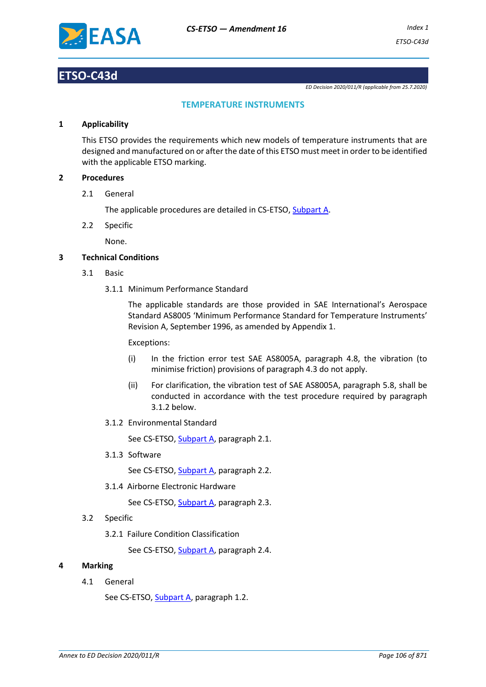

## **ETSO-C43d**

*ED Decision 2020/011/R (applicable from 25.7.2020)*

### **TEMPERATURE INSTRUMENTS**

#### **1 Applicability**

This ETSO provides the requirements which new models of temperature instruments that are designed and manufactured on or after the date of this ETSO must meet in order to be identified with the applicable ETSO marking.

### **2 Procedures**

2.1 General

The applicable procedures are detailed in CS-ETSO, Subpart A.

2.2 Specific

None.

### **3 Technical Conditions**

- 3.1 Basic
	- 3.1.1 Minimum Performance Standard

The applicable standards are those provided in SAE International's Aerospace Standard AS8005 'Minimum Performance Standard for Temperature Instruments' Revision A, September 1996, as amended by Appendix 1.

Exceptions:

- (i) In the friction error test SAE AS8005A, paragraph 4.8, the vibration (to minimise friction) provisions of paragraph 4.3 do not apply.
- (ii) For clarification, the vibration test of SAE AS8005A, paragraph 5.8, shall be conducted in accordance with the test procedure required by paragraph 3.1.2 below.
- 3.1.2 Environmental Standard

See CS-ETSO, Subpart A, paragraph 2.1.

3.1.3 Software

See CS-ETSO, Subpart A, paragraph 2.2.

3.1.4 Airborne Electronic Hardware

See CS-ETSO, Subpart A, paragraph 2.3.

- 3.2 Specific
	- 3.2.1 Failure Condition Classification

See CS-ETSO, Subpart A, paragraph 2.4.

#### **4 Marking**

4.1 General

See CS-ETSO, Subpart A, paragraph 1.2.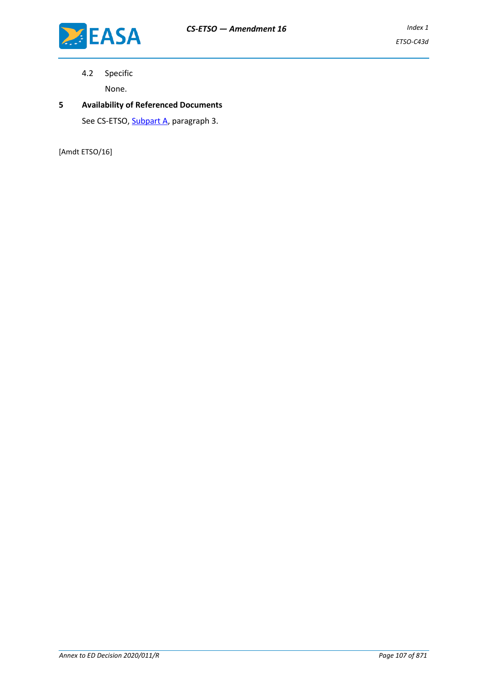4.2 Specific

None.

## **5 Availability of Referenced Documents** See CS-ETSO, **Subpart A**, paragraph 3.

[Amdt ETSO/16]